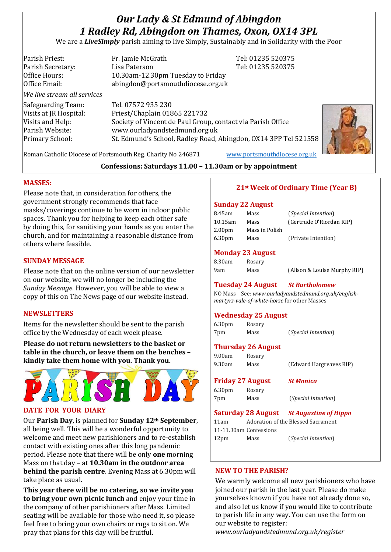# *Our Lady & St Edmund of Abingdon 1 Radley Rd, Abingdon on Thames, Oxon, OX14 3PL*

We are a *LiveSimply* parish aiming to live Simply, Sustainably and in Solidarity with the Poor

Parish Priest: Fr. Jamie McGrath Tel: 01235 520375 Parish Secretary: Tel: 01235 520375 Office Hours: 10.30am-12.30pm Tuesday to Friday Office Email: abingdon@portsmouthdiocese.org.uk *We live stream all services* Safeguarding Team: Tel. 07572 935 230 Visits at JR Hospital: Priest/Chaplain 01865 221732 Visits and Help: Society of Vincent de Paul Group, contact via Parish Office Parish Website: www.ourladyandstedmund.org.uk Primary School: St. Edmund's School, Radley Road, Abingdon, OX14 3PP Tel 521558



Roman Catholic Diocese of Portsmouth Reg. Charity No 246871 [www.portsmouthdiocese.org.uk](http://www.portsmouthdiocese.org.uk/)

#### **Confessions: Saturdays 11.00 – 11.30am or by appointment**

#### **MASSES:**

Please note that, in consideration for others, the government strongly recommends that face masks/coverings continue to be worn in indoor public spaces. Thank you for helping to keep each other safe by doing this, for sanitising your hands as you enter the church, and for maintaining a reasonable distance from others where feasible.

#### **SUNDAY MESSAGE**

Please note that on the online version of our newsletter on our website, we will no longer be including the *Sunday Message*. However, you will be able to view a copy of this on The News page of our website instead.

#### **NEWSLETTERS**

Items for the newsletter should be sent to the parish office by the Wednesday of each week please.

**Please do not return newsletters to the basket or table in the church, or leave them on the benches – kindly take them home with you. Thank you.**



#### **DATE FOR YOUR DIARY**

Our **Parish Day**, is planned for **Sunday 12th September**, all being well. This will be a wonderful opportunity to welcome and meet new parishioners and to re-establish contact with existing ones after this long pandemic period. Please note that there will be only **one** morning Mass on that day – at **10.30am in the outdoor area behind the parish centre**. Evening Mass at 6.30pm will take place as usual.

**This year there will be no catering, so we invite you to bring your own picnic lunch** and enjoy your time in the company of other parishioners after Mass. Limited seating will be available for those who need it, so please feel free to bring your own chairs or rugs to sit on. We pray that plans for this day will be fruitful.

#### **21st Week of Ordinary Time (Year B)**

#### **Sunday 22 August**

| 8.45am             | Mass           | ( <i>Special Intention</i> ) |
|--------------------|----------------|------------------------------|
| $10.15$ am         | Mass           | (Gertrude O'Riordan RIP)     |
| 2.00 <sub>pm</sub> | Mass in Polish |                              |
| 6.30 <sub>pm</sub> | Mass           | (Private Intention)          |

#### **Monday 23 August**

| 8.30am | Rosary |                              |
|--------|--------|------------------------------|
| 9am    | Mass   | (Alison & Louise Murphy RIP) |

#### **Tuesday 24 August** *St Bartholomew*

NO Mass See: *www.ourladyandstedmund.org.uk/englishmartyrs-vale-of-white-horse* for other Masses

#### **Wednesday 25 August**

| 6.30 <sub>pm</sub> | Rosary |                            |
|--------------------|--------|----------------------------|
| 7pm                | Mass   | <i>(Special Intention)</i> |

#### **Thursday 26 August**

| 9.00am | Rosary |                         |
|--------|--------|-------------------------|
| 9.30am | Mass   | (Edward Hargreaves RIP) |

## **Friday 27 August** *St Monica*

6.30pm Rosary 7pm Mass (*Special Intention*)

**Saturday 28 August** *St Augustine of Hippo* 11am Adoration of the Blessed Sacrament 11-11.30am Confessions 12pm Mass (*Special Intention*)

#### **NEW TO THE PARISH?**

We warmly welcome all new parishioners who have joined our parish in the last year. Please do make yourselves known if you have not already done so, and also let us know if you would like to contribute to parish life in any way. You can use the form on our website to register: *www.ourladyandstedmund.org.uk/register*